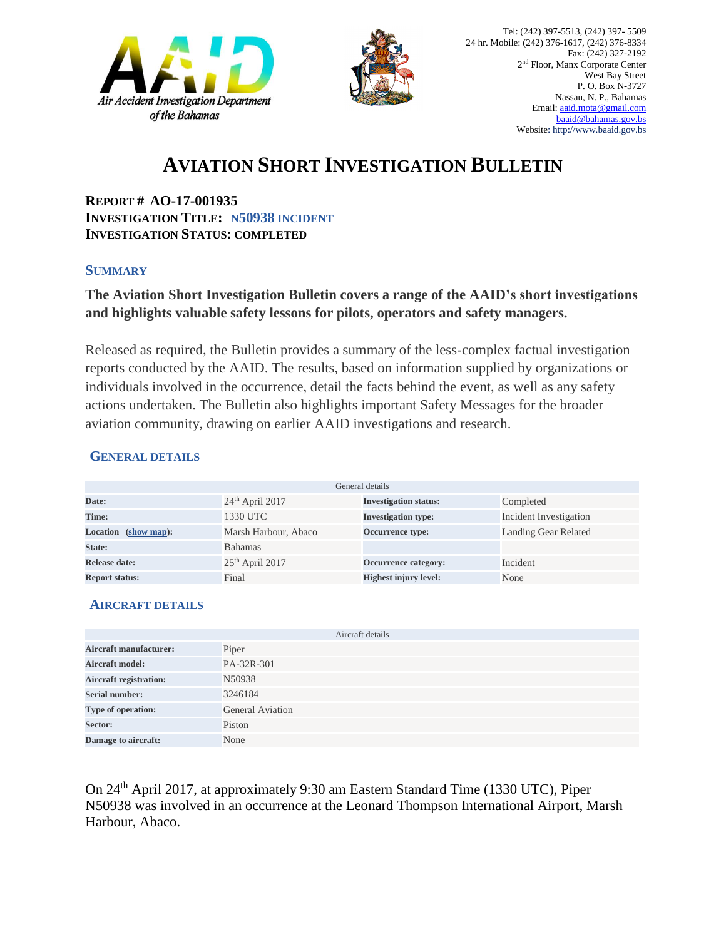



## **AVIATION SHORT INVESTIGATION BULLETIN**

**REPORT # AO-17-001935 INVESTIGATION TITLE: N50938 INCIDENT INVESTIGATION STATUS: COMPLETED**

#### **SUMMARY**

### **The Aviation Short Investigation Bulletin covers a range of the AAID's short investigations and highlights valuable safety lessons for pilots, operators and safety managers.**

Released as required, the Bulletin provides a summary of the less-complex factual investigation reports conducted by the AAID. The results, based on information supplied by organizations or individuals involved in the occurrence, detail the facts behind the event, as well as any safety actions undertaken. The Bulletin also highlights important Safety Messages for the broader aviation community, drawing on earlier AAID investigations and research.

#### **GENERAL DETAILS**

| General details       |                      |                              |                             |
|-----------------------|----------------------|------------------------------|-----------------------------|
| Date:                 | $24th$ April 2017    | <b>Investigation status:</b> | Completed                   |
| Time:                 | 1330 UTC             | <b>Investigation type:</b>   | Incident Investigation      |
| Location (show map):  | Marsh Harbour, Abaco | Occurrence type:             | <b>Landing Gear Related</b> |
| State:                | <b>Bahamas</b>       |                              |                             |
| Release date:         | $25th$ April 2017    | Occurrence category:         | Incident                    |
| <b>Report status:</b> | Final                | <b>Highest injury level:</b> | None                        |

#### **AIRCRAFT DETAILS**

|                               | Aircraft details        |
|-------------------------------|-------------------------|
| <b>Aircraft manufacturer:</b> | Piper                   |
| <b>Aircraft model:</b>        | PA-32R-301              |
| <b>Aircraft registration:</b> | N50938                  |
| <b>Serial number:</b>         | 3246184                 |
| Type of operation:            | <b>General Aviation</b> |
| Sector:                       | Piston                  |
| Damage to aircraft:           | None                    |

On 24th April 2017, at approximately 9:30 am Eastern Standard Time (1330 UTC), Piper N50938 was involved in an occurrence at the Leonard Thompson International Airport, Marsh Harbour, Abaco.